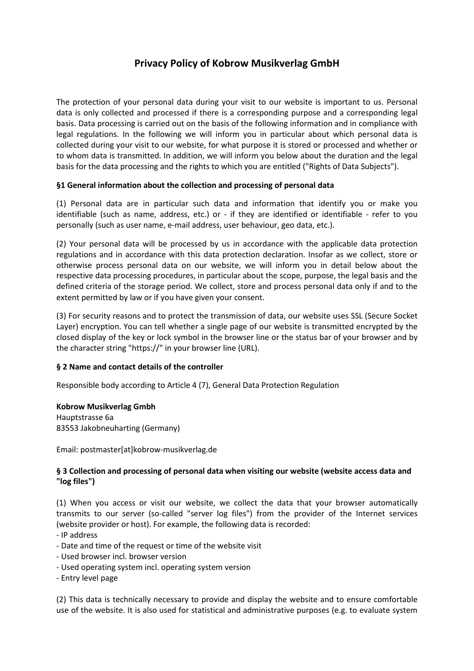# **Privacy Policy of Kobrow Musikverlag GmbH**

The protection of your personal data during your visit to our website is important to us. Personal data is only collected and processed if there is a corresponding purpose and a corresponding legal basis. Data processing is carried out on the basis of the following information and in compliance with legal regulations. In the following we will inform you in particular about which personal data is collected during your visit to our website, for what purpose it is stored or processed and whether or to whom data is transmitted. In addition, we will inform you below about the duration and the legal basis for the data processing and the rights to which you are entitled ("Rights of Data Subjects").

## **§1 General information about the collection and processing of personal data**

(1) Personal data are in particular such data and information that identify you or make you identifiable (such as name, address, etc.) or - if they are identified or identifiable - refer to you personally (such as user name, e-mail address, user behaviour, geo data, etc.).

(2) Your personal data will be processed by us in accordance with the applicable data protection regulations and in accordance with this data protection declaration. Insofar as we collect, store or otherwise process personal data on our website, we will inform you in detail below about the respective data processing procedures, in particular about the scope, purpose, the legal basis and the defined criteria of the storage period. We collect, store and process personal data only if and to the extent permitted by law or if you have given your consent.

(3) For security reasons and to protect the transmission of data, our website uses SSL (Secure Socket Layer) encryption. You can tell whether a single page of our website is transmitted encrypted by the closed display of the key or lock symbol in the browser line or the status bar of your browser and by the character string "https://" in your browser line (URL).

### **§ 2 Name and contact details of the controller**

Responsible body according to Article 4 (7), General Data Protection Regulation

### **Kobrow Musikverlag Gmbh**

Hauptstrasse 6a 83553 Jakobneuharting (Germany)

Email: postmaster[at]kobrow-musikverlag.de

# **§ 3 Collection and processing of personal data when visiting our website (website access data and "log files")**

(1) When you access or visit our website, we collect the data that your browser automatically transmits to our server (so-called "server log files") from the provider of the Internet services (website provider or host). For example, the following data is recorded:

- IP address
- Date and time of the request or time of the website visit
- Used browser incl. browser version
- Used operating system incl. operating system version
- Entry level page

(2) This data is technically necessary to provide and display the website and to ensure comfortable use of the website. It is also used for statistical and administrative purposes (e.g. to evaluate system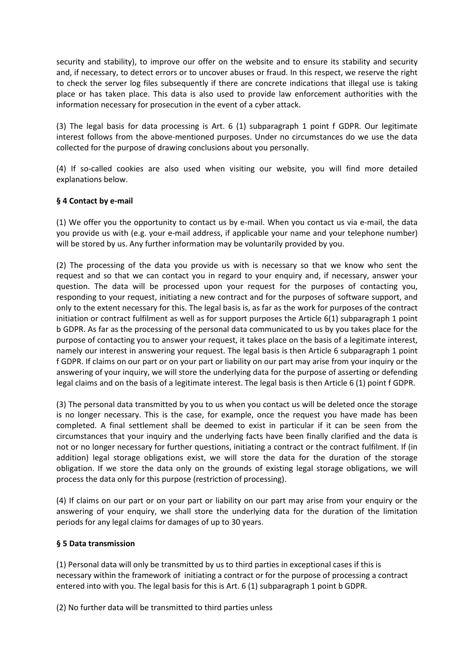security and stability), to improve our offer on the website and to ensure its stability and security and, if necessary, to detect errors or to uncover abuses or fraud. In this respect, we reserve the right to check the server log files subsequently if there are concrete indications that illegal use is taking place or has taken place. This data is also used to provide law enforcement authorities with the information necessary for prosecution in the event of a cyber attack.

(3) The legal basis for data processing is Art. 6 (1) subparagraph 1 point f GDPR. Our legitimate interest follows from the above-mentioned purposes. Under no circumstances do we use the data collected for the purpose of drawing conclusions about you personally.

(4) If so-called cookies are also used when visiting our website, you will find more detailed explanations below.

## **§ 4 Contact by e-mail**

(1) We offer you the opportunity to contact us by e-mail. When you contact us via e-mail, the data you provide us with (e.g. your e-mail address, if applicable your name and your telephone number) will be stored by us. Any further information may be voluntarily provided by you.

(2) The processing of the data you provide us with is necessary so that we know who sent the request and so that we can contact you in regard to your enquiry and, if necessary, answer your question. The data will be processed upon your request for the purposes of contacting you, responding to your request, initiating a new contract and for the purposes of software support, and only to the extent necessary for this. The legal basis is, as far as the work for purposes of the contract initiation or contract fulfilment as well as for support purposes the Article 6(1) subparagraph 1 point b GDPR. As far as the processing of the personal data communicated to us by you takes place for the purpose of contacting you to answer your request, it takes place on the basis of a legitimate interest, namely our interest in answering your request. The legal basis is then Article 6 subparagraph 1 point f GDPR. If claims on our part or on your part or liability on our part may arise from your inquiry or the answering of your inquiry, we will store the underlying data for the purpose of asserting or defending legal claims and on the basis of a legitimate interest. The legal basis is then Article 6 (1) point f GDPR.

(3) The personal data transmitted by you to us when you contact us will be deleted once the storage is no longer necessary. This is the case, for example, once the request you have made has been completed. A final settlement shall be deemed to exist in particular if it can be seen from the circumstances that your inquiry and the underlying facts have been finally clarified and the data is not or no longer necessary for further questions, initiating a contract or the contract fulfilment. If (in addition) legal storage obligations exist, we will store the data for the duration of the storage obligation. If we store the data only on the grounds of existing legal storage obligations, we will process the data only for this purpose (restriction of processing).

(4) If claims on our part or on your part or liability on our part may arise from your enquiry or the answering of your enquiry, we shall store the underlying data for the duration of the limitation periods for any legal claims for damages of up to 30 years.

### **§ 5 Data transmission**

(1) Personal data will only be transmitted by us to third parties in exceptional cases if this is necessary within the framework of initiating a contract or for the purpose of processing a contract entered into with you. The legal basis for this is Art. 6 (1) subparagraph 1 point b GDPR.

(2) No further data will be transmitted to third parties unless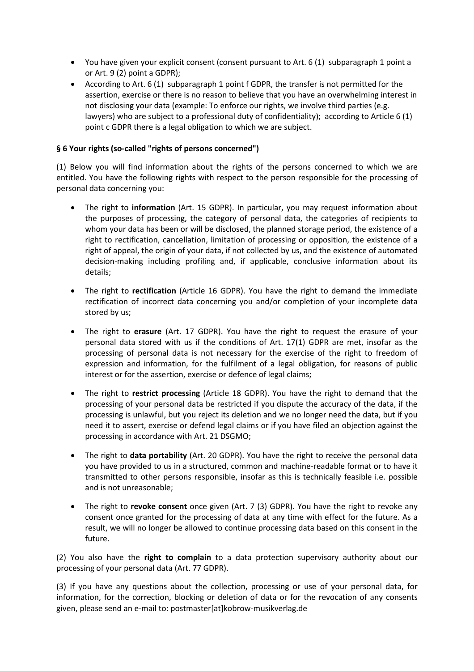- You have given your explicit consent (consent pursuant to Art. 6 (1) subparagraph 1 point a or Art. 9 (2) point a GDPR);
- According to Art. 6 (1) subparagraph 1 point f GDPR, the transfer is not permitted for the assertion, exercise or there is no reason to believe that you have an overwhelming interest in not disclosing your data (example: To enforce our rights, we involve third parties (e.g. lawyers) who are subject to a professional duty of confidentiality); according to Article 6 (1) point c GDPR there is a legal obligation to which we are subject.

# **§ 6 Your rights (so-called "rights of persons concerned")**

(1) Below you will find information about the rights of the persons concerned to which we are entitled. You have the following rights with respect to the person responsible for the processing of personal data concerning you:

- The right to **information** (Art. 15 GDPR). In particular, you may request information about the purposes of processing, the category of personal data, the categories of recipients to whom your data has been or will be disclosed, the planned storage period, the existence of a right to rectification, cancellation, limitation of processing or opposition, the existence of a right of appeal, the origin of your data, if not collected by us, and the existence of automated decision-making including profiling and, if applicable, conclusive information about its details;
- The right to **rectification** (Article 16 GDPR). You have the right to demand the immediate rectification of incorrect data concerning you and/or completion of your incomplete data stored by us;
- The right to **erasure** (Art. 17 GDPR). You have the right to request the erasure of your personal data stored with us if the conditions of Art. 17(1) GDPR are met, insofar as the processing of personal data is not necessary for the exercise of the right to freedom of expression and information, for the fulfilment of a legal obligation, for reasons of public interest or for the assertion, exercise or defence of legal claims;
- The right to **restrict processing** (Article 18 GDPR). You have the right to demand that the processing of your personal data be restricted if you dispute the accuracy of the data, if the processing is unlawful, but you reject its deletion and we no longer need the data, but if you need it to assert, exercise or defend legal claims or if you have filed an objection against the processing in accordance with Art. 21 DSGMO;
- The right to **data portability** (Art. 20 GDPR). You have the right to receive the personal data you have provided to us in a structured, common and machine-readable format or to have it transmitted to other persons responsible, insofar as this is technically feasible i.e. possible and is not unreasonable;
- The right to **revoke consent** once given (Art. 7 (3) GDPR). You have the right to revoke any consent once granted for the processing of data at any time with effect for the future. As a result, we will no longer be allowed to continue processing data based on this consent in the future.

(2) You also have the **right to complain** to a data protection supervisory authority about our processing of your personal data (Art. 77 GDPR).

(3) If you have any questions about the collection, processing or use of your personal data, for information, for the correction, blocking or deletion of data or for the revocation of any consents given, please send an e-mail to: postmaster[at]kobrow-musikverlag.de